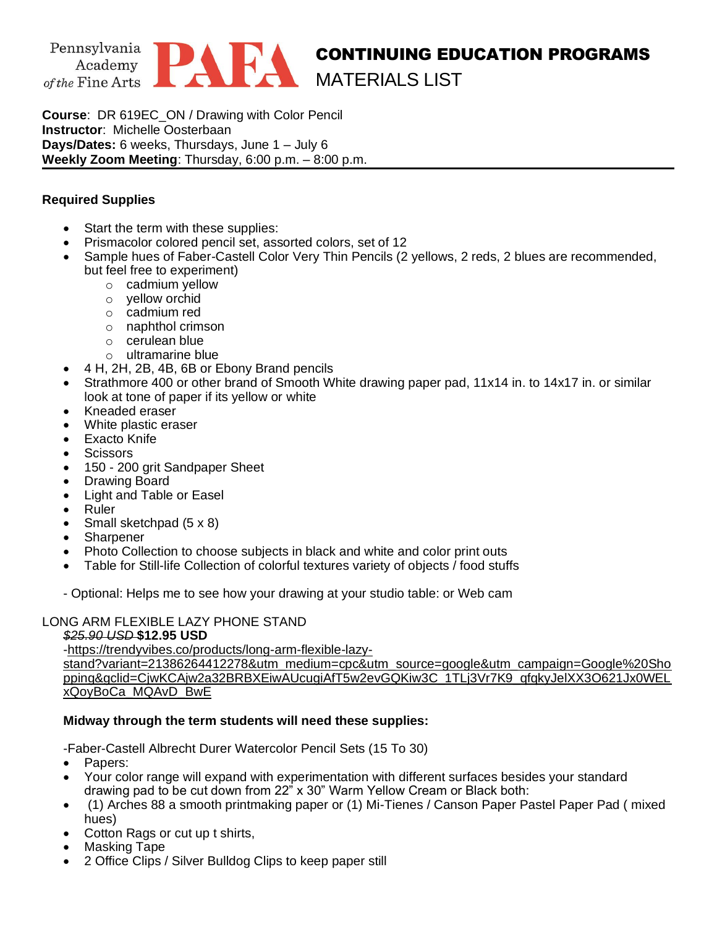

**Course**: DR 619EC\_ON / Drawing with Color Pencil **Instructor**: Michelle Oosterbaan **Days/Dates:** 6 weeks, Thursdays, June 1 – July 6 **Weekly Zoom Meeting**: Thursday, 6:00 p.m. – 8:00 p.m.

## **Required Supplies**

- Start the term with these supplies:
- Prismacolor colored pencil set, assorted colors, set of 12
- Sample hues of Faber-Castell Color Very Thin Pencils (2 yellows, 2 reds, 2 blues are recommended, but feel free to experiment)
	- o cadmium yellow
	- o yellow orchid
	- o cadmium red
	- o naphthol crimson
	- o cerulean blue
	- o ultramarine blue
- 4 H, 2H, 2B, 4B, 6B or Ebony Brand pencils
- Strathmore 400 or other brand of Smooth White drawing paper pad, 11x14 in. to 14x17 in. or similar look at tone of paper if its yellow or white
- Kneaded eraser
- White plastic eraser
- **Exacto Knife**
- **Scissors**
- 150 200 grit Sandpaper Sheet
- Drawing Board
- Light and Table or Easel
- Ruler
- Small sketchpad (5 x 8)
- **Sharpener**
- Photo Collection to choose subjects in black and white and color print outs
- Table for Still-life Collection of colorful textures variety of objects / food stuffs
- Optional: Helps me to see how your drawing at your studio table: or Web cam

## LONG ARM FLEXIBLE LAZY PHONE STAND

#### *\$25.90 USD* **\$12.95 USD**

[-https://trendyvibes.co/products/long-arm-flexible-lazy-](https://exchange.pafa.org/owa/redir.aspx?C=usP0hWPZ8rsMlmc3EthP5Q86U1Yq6uVOWjRe8DS3mR0N9hDajRfYCA..&URL=https%3a%2f%2flinkprotect.cudasvc.com%2furl%3fa%3dhttps%253a%252f%252ftrendyvibes.co%252fproducts%252flong-arm-flexible-lazy-stand%253fvariant%253d21386264412278%2526utm_medium%253dcpc%2526utm_source%253dgoogle%2526utm_campaign%253dGoogle%252520Shopping%2526gclid%253dCjwKCAjw2a32BRBXEiwAUcugiAfT5w2evGQKiw3C_1TLj3Vr7K9_qfqkyJelXX3O621Jx0WELxQoyBoCa_MQAvD_BwE%26c%3dE%2c1%2cVgBTuhR2kxkTM6ikTh58qIQsTX3H7sHbbFAzFxAKg9Dft-VoonhMV9podFAawf7a42IVYZ4GfjB9adzPnO-vR-If_QzvuFstcg1vSHDX9RS8564%2c%26typo%3d1)

[stand?variant=21386264412278&utm\\_medium=cpc&utm\\_source=google&utm\\_campaign=Google%20Sho](https://exchange.pafa.org/owa/redir.aspx?C=usP0hWPZ8rsMlmc3EthP5Q86U1Yq6uVOWjRe8DS3mR0N9hDajRfYCA..&URL=https%3a%2f%2flinkprotect.cudasvc.com%2furl%3fa%3dhttps%253a%252f%252ftrendyvibes.co%252fproducts%252flong-arm-flexible-lazy-stand%253fvariant%253d21386264412278%2526utm_medium%253dcpc%2526utm_source%253dgoogle%2526utm_campaign%253dGoogle%252520Shopping%2526gclid%253dCjwKCAjw2a32BRBXEiwAUcugiAfT5w2evGQKiw3C_1TLj3Vr7K9_qfqkyJelXX3O621Jx0WELxQoyBoCa_MQAvD_BwE%26c%3dE%2c1%2cVgBTuhR2kxkTM6ikTh58qIQsTX3H7sHbbFAzFxAKg9Dft-VoonhMV9podFAawf7a42IVYZ4GfjB9adzPnO-vR-If_QzvuFstcg1vSHDX9RS8564%2c%26typo%3d1) [pping&gclid=CjwKCAjw2a32BRBXEiwAUcugiAfT5w2evGQKiw3C\\_1TLj3Vr7K9\\_qfqkyJelXX3O621Jx0WEL](https://exchange.pafa.org/owa/redir.aspx?C=usP0hWPZ8rsMlmc3EthP5Q86U1Yq6uVOWjRe8DS3mR0N9hDajRfYCA..&URL=https%3a%2f%2flinkprotect.cudasvc.com%2furl%3fa%3dhttps%253a%252f%252ftrendyvibes.co%252fproducts%252flong-arm-flexible-lazy-stand%253fvariant%253d21386264412278%2526utm_medium%253dcpc%2526utm_source%253dgoogle%2526utm_campaign%253dGoogle%252520Shopping%2526gclid%253dCjwKCAjw2a32BRBXEiwAUcugiAfT5w2evGQKiw3C_1TLj3Vr7K9_qfqkyJelXX3O621Jx0WELxQoyBoCa_MQAvD_BwE%26c%3dE%2c1%2cVgBTuhR2kxkTM6ikTh58qIQsTX3H7sHbbFAzFxAKg9Dft-VoonhMV9podFAawf7a42IVYZ4GfjB9adzPnO-vR-If_QzvuFstcg1vSHDX9RS8564%2c%26typo%3d1) [xQoyBoCa\\_MQAvD\\_BwE](https://exchange.pafa.org/owa/redir.aspx?C=usP0hWPZ8rsMlmc3EthP5Q86U1Yq6uVOWjRe8DS3mR0N9hDajRfYCA..&URL=https%3a%2f%2flinkprotect.cudasvc.com%2furl%3fa%3dhttps%253a%252f%252ftrendyvibes.co%252fproducts%252flong-arm-flexible-lazy-stand%253fvariant%253d21386264412278%2526utm_medium%253dcpc%2526utm_source%253dgoogle%2526utm_campaign%253dGoogle%252520Shopping%2526gclid%253dCjwKCAjw2a32BRBXEiwAUcugiAfT5w2evGQKiw3C_1TLj3Vr7K9_qfqkyJelXX3O621Jx0WELxQoyBoCa_MQAvD_BwE%26c%3dE%2c1%2cVgBTuhR2kxkTM6ikTh58qIQsTX3H7sHbbFAzFxAKg9Dft-VoonhMV9podFAawf7a42IVYZ4GfjB9adzPnO-vR-If_QzvuFstcg1vSHDX9RS8564%2c%26typo%3d1)

## **Midway through the term students will need these supplies:**

-Faber-Castell Albrecht Durer Watercolor Pencil Sets (15 To 30)

- Papers:
- Your color range will expand with experimentation with different surfaces besides your standard drawing pad to be cut down from 22" x 30" Warm Yellow Cream or Black both:
- (1) Arches 88 a smooth printmaking paper or (1) Mi-Tienes / Canson Paper Pastel Paper Pad ( mixed hues)
- Cotton Rags or cut up t shirts,
- Masking Tape
- 2 Office Clips / Silver Bulldog Clips to keep paper still